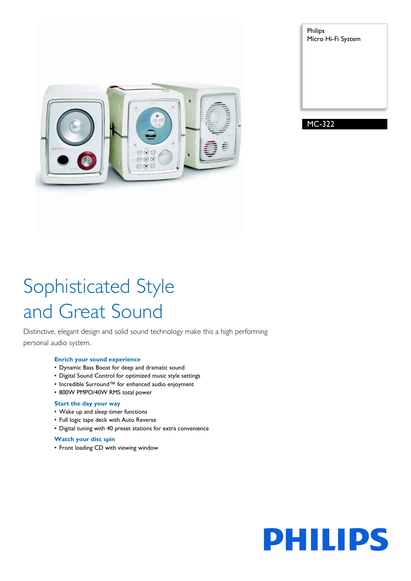

Philips Micro Hi-Fi System

MC-322

# Sophisticated Style and Great Sound

Distinctive, elegant design and solid sound technology make this a high performing personal audio system.

#### **Enrich your sound experience**

- Dynamic Bass Boost for deep and dramatic sound
- Digital Sound Control for optimized music style settings
- Incredible Surround™ for enhanced audio enjoyment
- 800W PMPO/40W RMS total power

#### **Start the day your way**

- Wake up and sleep timer functions
- Full logic tape deck with Auto Reverse
- Digital tuning with 40 preset stations for extra convenience

#### **Watch your disc spin**

• Front loading CD with viewing window